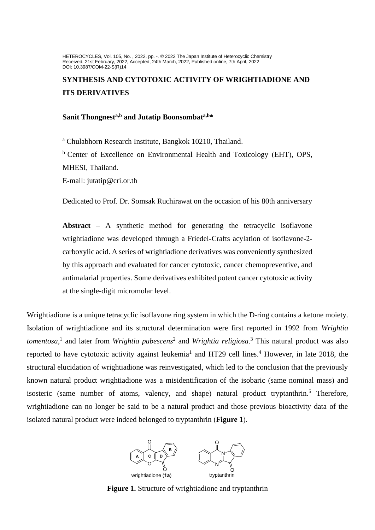HETEROCYCLES, Vol. 105, No. , 2022, pp. -. © 2022 The Japan Institute of Heterocyclic Chemistry Received, 21st February, 2022, Accepted, 24th March, 2022, Published online, 7th April, 2022 DOI: 10.3987/COM-22-S(R)14

# **SYNTHESIS AND CYTOTOXIC ACTIVITY OF WRIGHTIADIONE AND ITS DERIVATIVES**

# **Sanit Thongnesta,b and Jutatip Boonsombata,b\***

<sup>a</sup> Chulabhorn Research Institute, Bangkok 10210, Thailand. <sup>b</sup> Center of Excellence on Environmental Health and Toxicology (EHT), OPS, MHESI, Thailand.

E-mail: jutatip@cri.or.th

Dedicated to Prof. Dr. Somsak Ruchirawat on the occasion of his 80th anniversary

**Abstract** – A synthetic method for generating the tetracyclic isoflavone wrightiadione was developed through a Friedel-Crafts acylation of isoflavone-2 carboxylic acid. A series of wrightiadione derivatives was conveniently synthesized by this approach and evaluated for cancer cytotoxic, cancer chemopreventive, and antimalarial properties. Some derivatives exhibited potent cancer cytotoxic activity at the single-digit micromolar level.

Wrightiadione is a unique tetracyclic isoflavone ring system in which the D-ring contains a ketone moiety. Isolation of wrightiadione and its structural determination were first reported in 1992 from *Wrightia tomentosa*, 1 and later from *Wrightia pubescens*<sup>2</sup> and *Wrightia religiosa*. <sup>3</sup> This natural product was also reported to have cytotoxic activity against leukemia<sup>1</sup> and HT29 cell lines.<sup>4</sup> However, in late 2018, the structural elucidation of wrightiadione was reinvestigated, which led to the conclusion that the previously known natural product wrightiadione was a misidentification of the isobaric (same nominal mass) and isosteric (same number of atoms, valency, and shape) natural product tryptanthrin.<sup>5</sup> Therefore, wrightiadione can no longer be said to be a natural product and those previous bioactivity data of the isolated natural product were indeed belonged to tryptanthrin (**Figure 1**).



**Figure 1.** Structure of wrightiadione and tryptanthrin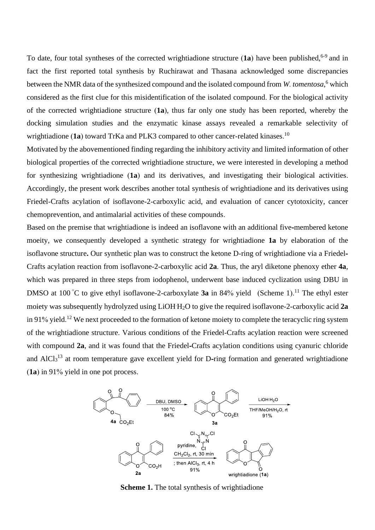To date, four total syntheses of the corrected wrightiadione structure (1a) have been published,<sup>6-9</sup> and in fact the first reported total synthesis by Ruchirawat and Thasana acknowledged some discrepancies between the NMR data of the synthesized compound and the isolated compound from *W. tomentosa*, <sup>6</sup> which considered as the first clue for this misidentification of the isolated compound. For the biological activity of the corrected wrightiadione structure (**1a**), thus far only one study has been reported, whereby the docking simulation studies and the enzymatic kinase assays revealed a remarkable selectivity of wrightiadione (1a) toward TrKa and PLK3 compared to other cancer-related kinases.<sup>10</sup>

Motivated by the abovementioned finding regarding the inhibitory activity and limited information of other biological properties of the corrected wrightiadione structure, we were interested in developing a method for synthesizing wrightiadione (**1a**) and its derivatives, and investigating their biological activities. Accordingly, the present work describes another total synthesis of wrightiadione and its derivatives using Friedel-Crafts acylation of isoflavone-2-carboxylic acid, and evaluation of cancer cytotoxicity, cancer chemoprevention, and antimalarial activities of these compounds.

Based on the premise that wrightiadione is indeed an isoflavone with an additional five**-**membered ketone moeity, we consequently developed a synthetic strategy for wrightiadione **1a** by elaboration of the isoflavone structure**.** Our synthetic plan was to construct the ketone D-ring of wrightiadione via a Friedel**-**Crafts acylation reaction from isoflavone-2-carboxylic acid **2a**. Thus, the aryl diketone phenoxy ether **4a**, which was prepared in three steps from iodophenol, underwent base induced cyclization using DBU in DMSO at 100 °C to give ethyl isoflavone-2-carboxylate **3a** in 84% yield (Scheme 1).<sup>11</sup> The ethyl ester moiety was subsequently hydrolyzed using LiOH.H2O to give the required isoflavone-2-carboxylic acid **2a** in 91% yield.<sup>12</sup> We next proceeded to the formation of ketone moiety to complete the teracyclic ring system of the wrightiadione structure. Various conditions of the Friedel-Crafts acylation reaction were screened with compound 2a, and it was found that the Friedel-Crafts acylation conditions using cyanuric chloride and AlCl<sub>3</sub><sup>13</sup> at room temperature gave excellent yield for D-ring formation and generated wrightiadione (**1a**) in 91% yield in one pot process.



**Scheme 1.** The total synthesis of wrightiadione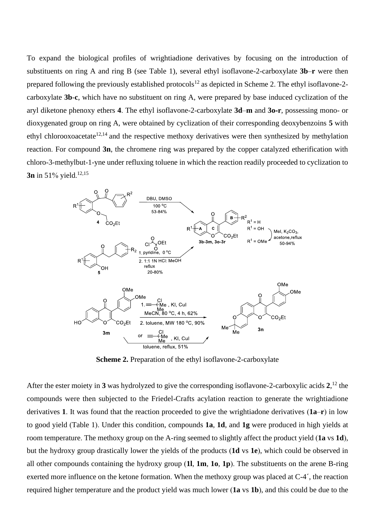To expand the biological profiles of wrightiadione derivatives by focusing on the introduction of substituents on ring A and ring B (see Table 1), several ethyl isoflavone-2-carboxylate **3b**–**r** were then prepared following the previously established protocols<sup>12</sup> as depicted in Scheme 2. The ethyl isoflavone-2carboxylate **3b**-**c**, which have no substituent on ring A, were prepared by base induced cyclization of the aryl diketone phenoxy ethers **4**. The ethyl isoflavone-2-carboxylate **3d**–**m** and **3o-r**, possessing mono- or dioxygenated group on ring A, were obtained by cyclization of their corresponding deoxybenzoins **5** with ethyl chlorooxoacetate<sup>12,14</sup> and the respective methoxy derivatives were then synthesized by methylation reaction. For compound **3n**, the chromene ring was prepared by the copper catalyzed etherification with chloro-3-methylbut-1-yne under refluxing toluene in which the reaction readily proceeded to cyclization to **3n** in 51% yield.<sup>12,15</sup>



**Scheme 2.** Preparation of the ethyl isoflavone-2-carboxylate

After the ester moiety in **3** was hydrolyzed to give the corresponding isoflavone-2-carboxylic acids **2**, <sup>12</sup> the compounds were then subjected to the Friedel-Crafts acylation reaction to generate the wrightiadione derivatives **1**. It was found that the reaction proceeded to give the wrightiadone derivatives (**1a**–**r**) in low to good yield (Table 1). Under this condition, compounds **1a**, **1d**, and **1g** were produced in high yields at room temperature. The methoxy group on the A-ring seemed to slightly affect the product yield (**1a** vs **1d**), but the hydroxy group drastically lower the yields of the products (**1d** vs **1e**), which could be observed in all other compounds containing the hydroxy group (**1l**, **1m**, **1o**, **1p**). The substituents on the arene B-ring exerted more influence on the ketone formation. When the methoxy group was placed at C-4´, the reaction required higher temperature and the product yield was much lower (**1a** vs **1b**), and this could be due to the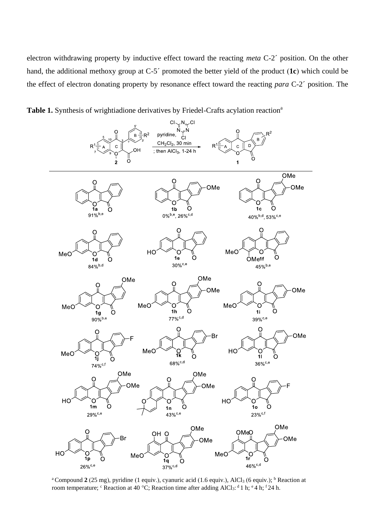electron withdrawing property by inductive effect toward the reacting *meta* C-2´ position. On the other hand, the additional methoxy group at C-5´ promoted the better yield of the product (**1c**) which could be the effect of electron donating property by resonance effect toward the reacting *para* C-2´ position. The





<sup>a</sup> Compound  $2(25 \text{ mg})$ , pyridine (1 equiv.), cyanuric acid (1.6 equiv.), AlCl<sub>3</sub> (6 equiv.); <sup>b</sup> Reaction at room temperature;  $\text{c}$  Reaction at 40 °C; Reaction time after adding AlCl<sub>3</sub>: <sup>d</sup> 1 h; <sup>e</sup> 4 h; <sup>f</sup> 24 h.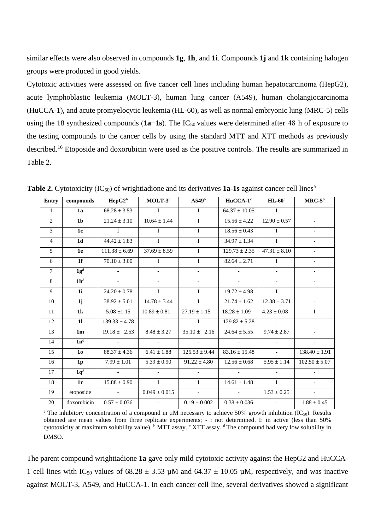similar effects were also observed in compounds **1g**, **1h**, and **1i**. Compounds **1j** and **1k** containing halogen groups were produced in good yields.

Cytotoxic activities were assessed on five cancer cell lines including human hepatocarcinoma (HepG2), acute lymphoblastic leukemia (MOLT-3), human lung cancer (A549), human cholangiocarcinoma (HuCCA-1), and acute promyelocytic leukemia (HL-60), as well as normal embryonic lung (MRC-5) cells using the 18 synthesized compounds (**1a−1s**). The IC<sub>50</sub> values were determined after 48 h of exposure to the testing compounds to the cancer cells by using the standard MTT and XTT methods as previously described.<sup>16</sup> Etoposide and doxorubicin were used as the positive controls. The results are summarized in Table 2.

| <b>Entry</b>    | compounds      | $\rm{HepG2^b}$           | $MOLT-3c$                | A549 <sup>b</sup>        | $HuCCA-1c$          | $HL-60^\circ$            | $MRC-5^{\overline{b}}$   |
|-----------------|----------------|--------------------------|--------------------------|--------------------------|---------------------|--------------------------|--------------------------|
| $\mathbf{1}$    | 1a             | $68.28 \pm 3.53$         | $\mathbf{I}$             | $\mathbf{I}$             | $64.37 \pm 10.05$   | $\mathbf{I}$             |                          |
| 2               | 1 <sub>b</sub> | $21.24 \pm 3.10$         | $10.64 \pm 1.44$         | $\mathbf{I}$             | $15.56 \pm 4.22$    | $12.90 \pm 0.57$         | $\sim$                   |
| $\overline{3}$  | 1c             | $\mathbf{I}$             | $\mathbf{I}$             | $\mathbf{I}$             | $18.56 \pm 0.43$    | $\mathbf{I}$             |                          |
| $\overline{4}$  | 1 <sub>d</sub> | $44.42 \pm 1.83$         | $\mathbf I$              | $\mathbf{I}$             | $34.97 \pm 1.34$    | $\mathbf{I}$             | $\overline{\phantom{0}}$ |
| $\overline{5}$  | 1e             | $111.38 \pm 6.69$        | $37.69 \pm 8.59$         | $\overline{I}$           | $129.73 \pm 2.35$   | $47.31 \pm 8.10$         | $\overline{\phantom{a}}$ |
| 6               | 1 <sub>f</sub> | $70.10 \pm 3.00$         | $\mathbf I$              | $\mathbf I$              | $82.64 \pm 2.71$    | $\mathbf{I}$             | $\overline{\phantom{0}}$ |
| $\tau$          | $1g^d$         | $\overline{\phantom{a}}$ | $\overline{\phantom{a}}$ | $\overline{\phantom{a}}$ | $\blacksquare$      | $\overline{\phantom{a}}$ | $\overline{\phantom{0}}$ |
| 8               | $1h^d$         | $\sim$                   | $\overline{\phantom{0}}$ | $\overline{\phantom{a}}$ | $\sim$              | $\overline{\phantom{a}}$ |                          |
| 9               | 1i             | $24.20 \pm 0.78$         | $\mathbf I$              | $\bf{I}$                 | $19.72 \pm 4.98$    | $\bf{I}$                 | $\overline{\phantom{a}}$ |
| 10              | 1j             | $38.92 \pm 5.01$         | $14.78 \pm 3.44$         | $\mathbf{I}$             | $21.74 \pm 1.62$    | $12.38 \pm 3.71$         | $\blacksquare$           |
| 11              | 1 <sub>k</sub> | $5.08 \pm 1.15$          | $10.89 \pm 0.81$         | $27.19 \pm 1.15$         | $18.28 \pm 1.09$    | $4.23 \pm 0.08$          | $\mathbf{I}$             |
| 12              | 11             | $139.33 \pm 4.78$        | $\sim$                   | $\mathbf{I}$             | $129.82 \pm 5.28$   | $\sim$                   |                          |
| $\overline{13}$ | 1 <sub>m</sub> | $19.18 \pm 2.53$         | $8.48 \pm 3.27$          | $35.10 \pm 2.16$         | $24.64 \pm 5.55$    | $9.74 \pm 2.87$          | $\equiv$                 |
| 14              | $1n^d$         | $\sim$                   | $\sim$                   | $\sim$                   | $\sim$              | $\sim$                   | $\overline{\phantom{a}}$ |
| 15              | 1 <sub>0</sub> | $88.37 \pm 4.36$         | $6.41 \pm 1.88$          | $125.53 \pm 9.44$        | $83.16 \pm 15.48$   | $\sim$                   | $138.40 \pm 1.91$        |
| 16              | 1 <sub>p</sub> | $7.99 \pm 1.01$          | $5.39 \pm 0.90$          | $91.22 \pm 4.80$         | $12.56 \pm 0.68$    | $5.95 \pm 1.14$          | $102.50 \pm 5.07$        |
| 17              | $1q^d$         | $\sim$                   | $\mathbb{Z}^2$           | $\overline{a}$           | $\mathcal{L}^{\pm}$ | $\overline{\phantom{0}}$ |                          |
| 18              | 1r             | $15.88 \pm 0.90$         | $\mathbf I$              | $\mathbf{I}$             | $14.61 \pm 1.48$    | $\mathbf{I}$             | $\overline{\phantom{0}}$ |
| 19              | etoposide      | $\sim 100$               | $0.049 \pm 0.015$        | $\overline{\phantom{a}}$ | $\sim$              | $1.53 \pm 0.25$          | $\overline{\phantom{a}}$ |
| 20              | doxorubicin    | $0.57 \pm 0.036$         | $\overline{\phantom{a}}$ | $0.19 \pm 0.002$         | $0.38 \pm 0.036$    | $\overline{\phantom{a}}$ | $1.88\pm0.45$            |

**Table 2.** Cytotoxicity (IC<sub>50</sub>) of wrightiadione and its derivatives **1a-1s** against cancer cell lines<sup>a</sup>

<sup>a</sup> The inhibitory concentration of a compound in  $\mu$ M necessary to achieve 50% growth inhibition (IC<sub>50</sub>). Results obtained are mean values from three replicate experiments; - : not determined. I: in active (less than 50% cytotoxicity at maximum solubility value). <sup>b</sup> MTT assay. <sup>c</sup> XTT assay. <sup>d</sup> The compound had very low solubility in DMSO.

The parent compound wrightiadione **1a** gave only mild cytotoxic activity against the HepG2 and HuCCA-1 cell lines with IC<sub>50</sub> values of  $68.28 \pm 3.53 \mu$ M and  $64.37 \pm 10.05 \mu$ M, respectively, and was inactive against MOLT-3, A549, and HuCCA-1. In each cancer cell line, several derivatives showed a significant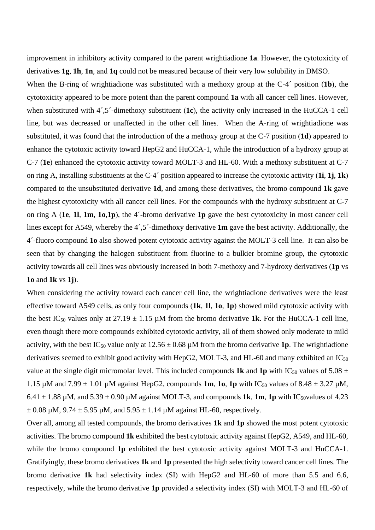improvement in inhibitory activity compared to the parent wrightiadione **1a**. However, the cytotoxicity of derivatives **1g**, **1h**, **1n**, and **1q** could not be measured because of their very low solubility in DMSO.

When the B-ring of wrightiadione was substituted with a methoxy group at the C-4´ position (**1b**), the cytotoxicity appeared to be more potent than the parent compound **1a** with all cancer cell lines. However, when substituted with 4´,5´-dimethoxy substituent (**1c**), the activity only increased in the HuCCA-1 cell line, but was decreased or unaffected in the other cell lines. When the A-ring of wrightiadione was substituted, it was found that the introduction of the a methoxy group at the C-7 position (**1d**) appeared to enhance the cytotoxic activity toward HepG2 and HuCCA-1, while the introduction of a hydroxy group at C-7 (**1e**) enhanced the cytotoxic activity toward MOLT-3 and HL-60. With a methoxy substituent at C-7 on ring A, installing substituents at the C-4´ position appeared to increase the cytotoxic activity (**1i**, **1j**, **1k**) compared to the unsubstituted derivative **1d**, and among these derivatives, the bromo compound **1k** gave the highest cytotoxicity with all cancer cell lines. For the compounds with the hydroxy substituent at C-7 on ring A (**1e**, **1l**, **1m**, **1o**,**1p**), the 4´-bromo derivative **1p** gave the best cytotoxicity in most cancer cell lines except for A549, whereby the 4´,5´-dimethoxy derivative **1m** gave the best activity. Additionally, the 4´-fluoro compound **1o** also showed potent cytotoxic activity against the MOLT-3 cell line. It can also be seen that by changing the halogen substituent from fluorine to a bulkier bromine group, the cytotoxic activity towards all cell lines was obviously increased in both 7-methoxy and 7-hydroxy derivatives (**1p** vs **1o** and **1k** vs **1j**).

When considering the activity toward each cancer cell line, the wrightiadione derivatives were the least effective toward A549 cells, as only four compounds (**1k**, **1l**, **1o**, **1p**) showed mild cytotoxic activity with the best IC<sub>50</sub> values only at  $27.19 \pm 1.15 \mu$ M from the bromo derivative 1k. For the HuCCA-1 cell line, even though there more compounds exhibited cytotoxic activity, all of them showed only moderate to mild activity, with the best IC<sub>50</sub> value only at  $12.56 \pm 0.68 \mu$ M from the bromo derivative **1p**. The wrightiadione derivatives seemed to exhibit good activity with HepG2, MOLT-3, and HL-60 and many exhibited an  $IC_{50}$ value at the single digit micromolar level. This included compounds **1k** and **1p** with IC<sub>50</sub> values of 5.08  $\pm$ 1.15  $\mu$ M and 7.99  $\pm$  1.01  $\mu$ M against HepG2, compounds **1m, 1o, 1p** with IC<sub>50</sub> values of 8.48  $\pm$  3.27  $\mu$ M,  $6.41 \pm 1.88 \,\mu$ M, and  $5.39 \pm 0.90 \,\mu$ M against MOLT-3, and compounds **1k**, **1m**, **1p** with IC<sub>50</sub>values of 4.23  $\pm 0.08$  µM,  $9.74 \pm 5.95$  µM, and  $5.95 \pm 1.14$  µM against HL-60, respectively.

Over all, among all tested compounds, the bromo derivatives **1k** and **1p** showed the most potent cytotoxic activities. The bromo compound **1k** exhibited the best cytotoxic activity against HepG2, A549, and HL-60, while the bromo compound 1p exhibited the best cytotoxic activity against MOLT-3 and HuCCA-1. Gratifyingly, these bromo derivatives **1k** and **1p** presented the high selectivity toward cancer cell lines. The bromo derivative **1k** had selectivity index (SI) with HepG2 and HL-60 of more than 5.5 and 6.6, respectively, while the bromo derivative **1p** provided a selectivity index (SI) with MOLT-3 and HL-60 of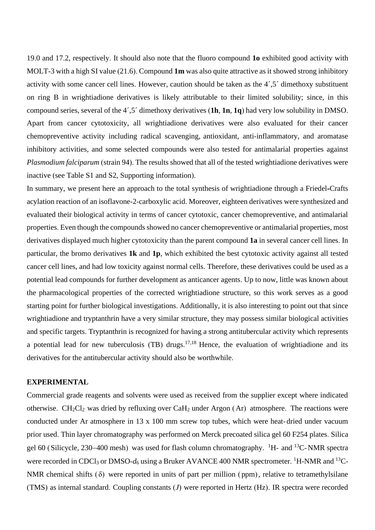19.0 and 17.2, respectively. It should also note that the fluoro compound **1o** exhibited good activity with MOLT-3 with a high SI value (21.6). Compound **1m** was also quite attractive as it showed strong inhibitory activity with some cancer cell lines. However, caution should be taken as the 4´,5´ dimethoxy substituent on ring B in wrightiadione derivatives is likely attributable to their limited solubility; since, in this compound series, several of the 4´,5´ dimethoxy derivatives (**1h**, **1n**, **1q**) had very low solubility in DMSO. Apart from cancer cytotoxicity, all wrightiadione derivatives were also evaluated for their cancer chemopreventive activity including radical scavenging, antioxidant, anti-inflammatory, and aromatase inhibitory activities, and some selected compounds were also tested for antimalarial properties against *Plasmodium falciparum* (strain 94). The results showed that all of the tested wrightiadione derivatives were inactive (see Table S1 and S2, Supporting information).

In summary, we present here an approach to the total synthesis of wrightiadione through a Friedel**-**Crafts acylation reaction of an isoflavone-2-carboxylic acid. Moreover, eighteen derivatives were synthesized and evaluated their biological activity in terms of cancer cytotoxic, cancer chemopreventive, and antimalarial properties. Even though the compounds showed no cancer chemopreventive or antimalarial properties, most derivatives displayed much higher cytotoxicity than the parent compound **1a** in several cancer cell lines. In particular, the bromo derivatives **1k** and **1p**, which exhibited the best cytotoxic activity against all tested cancer cell lines, and had low toxicity against normal cells. Therefore, these derivatives could be used as a potential lead compounds for further development as anticancer agents. Up to now, little was known about the pharmacological properties of the corrected wrightiadione structure, so this work serves as a good starting point for further biological investigations. Additionally, it is also interesting to point out that since wrightiadione and tryptanthrin have a very similar structure, they may possess similar biological activities and specific targets. Tryptanthrin is recognized for having a strong antitubercular activity which represents a potential lead for new tuberculosis (TB) drugs.<sup>17,18</sup> Hence, the evaluation of wrightiadione and its derivatives for the antitubercular activity should also be worthwhile.

### **EXPERIMENTAL**

Commercial grade reagents and solvents were used as received from the supplier except where indicated otherwise.  $CH_2Cl_2$  was dried by refluxing over  $CaH_2$  under Argon (Ar) atmosphere. The reactions were conducted under Ar atmosphere in 13 x 100 mm screw top tubes, which were heat- dried under vacuum prior used. Thin layer chromatography was performed on Merck precoated silica gel 60 F254 plates. Silica gel 60 (Silicycle, 230–400 mesh) was used for flash column chromatography. <sup>1</sup>H- and <sup>13</sup>C-NMR spectra were recorded in CDCl<sub>3</sub> or DMSO- $d_6$  using a Bruker AVANCE 400 NMR spectrometer. <sup>1</sup>H-NMR and <sup>13</sup>C-NMR chemical shifts  $(\delta)$  were reported in units of part per million (ppm), relative to tetramethylsilane (TMS) as internal standard. Coupling constants (*J*) were reported in Hertz (Hz). IR spectra were recorded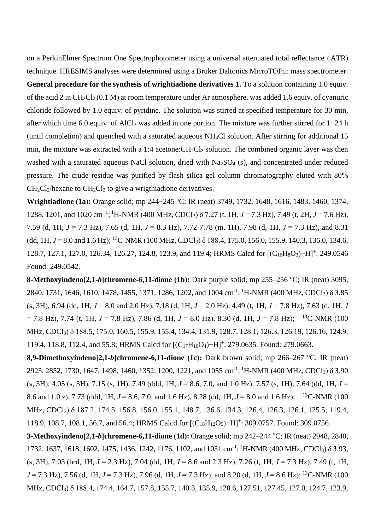on a PerkinElmer Spectrum One Spectrophotometer using a universal attenuated total reflectance (ATR) technique. HRESIMS analyses were determined using a Bruker Daltonics MicroTOFLC mass spectrometer. **General procedure for the synthesis of wrightiadione derivatives 1.** To a solution containing 1.0 equiv. of the acid **2** in CH2Cl<sup>2</sup> (0.1 M) at room temperature under Ar atmosphere, was added 1.6 equiv. of cyanuric chloride followed by 1.0 equiv. of pyridine. The solution was stirred at specified temperature for 30 min, after which time 6.0 equiv. of AlCl<sup>3</sup> was added in one portion. The mixture was further stirred for 1−24 h (until completion) and quenched with a saturated aqueous NH4Cl solution. After stirring for additional 15 min, the mixture was extracted with a 1:4 acetone: $CH_2Cl_2$  solution. The combined organic layer was then washed with a saturated aqueous NaCl solution, dried with Na<sub>2</sub>SO<sub>4</sub> (s), and concentrated under reduced pressure. The crude residue was purified by flash silica gel column chromatography eluted with 80%  $CH_2Cl_2$ /hexane to  $CH_2Cl_2$  to give a wrigthiadione derivatives.

**Wrightiadione (1a):** Orange solid; mp 244−245 °C; IR (neat) 3749, 1732, 1648, 1616, 1483, 1460, 1374, 1288, 1201, and 1020 cm<sup>-1</sup>; <sup>1</sup>H-NMR (400 MHz, CDCl<sub>3</sub>) δ 7.27 (t, 1H, *J* = 7.3 Hz), 7.49 (t, 2H, *J* = 7.6 Hz), 7.59 (d, 1H, *J* = 7.3 Hz), 7.65 (d, 1H, *J* = 8.3 Hz), 7.72-7.78 (m, 1H), 7.98 (d, 1H, *J* = 7.3 Hz), and 8.31 (dd, 1H,  $J = 8.0$  and 1.6 Hz); <sup>13</sup>C-NMR (100 MHz, CDCl<sub>3</sub>)  $\delta$  188.4, 175.0, 156.0, 155.9, 140.3, 136.0, 134.6, 128.7, 127.1, 127.0, 126.34, 126.27, 124.8, 123.9, and 119.4; HRMS Calcd for  $[ (C_{16}H_8O_3)+H]^+$ : 249.0546 Found: 249.0542.

**8-Methoxyindeno[2,1-***b*]chromene-6,11-dione (1b): Dark purple solid; mp 255–256 °C; IR (neat) 3095, 2840, 1731, 1646, 1610, 1478, 1455, 1371, 1286, 1202, and 1004 cm<sup>-1</sup>; <sup>1</sup>H-NMR (400 MHz, CDCl<sub>3</sub>)  $\delta$  3.85 (s, 3H), 6.94 (dd, 1H, *J* = 8.0 and 2.0 Hz), 7.18 (d, 1H, *J* = 2.0 Hz), 4.49 (t, 1H, *J* = 7.8 Hz), 7.63 (d, 1H, *J* = 7.8 Hz), 7.74 (t, 1H, *J* = 7.8 Hz), 7.86 (d, 1H, *J* = 8.0 Hz), 8.30 (d, 1H, *J* = 7.8 Hz); <sup>13</sup>C-NMR (100 MHz, CDCl3) δ 188.5, 175.0, 160.5, 155.9, 155.4, 134.4, 131.9, 128.7, 128.1, 126.3, 126.19, 126.16, 124.9, 119.4, 118.8, 112.4, and 55.8; HRMS Calcd for  $[(C_{17}H_{10}O_4)+H]^+$ : 279.0635. Found: 279.0663.

**8,9-Dimethoxyindeno[2,1-***b***]chromene-6,11-dione (1c):** Dark brown solid; mp 266–267 °C; IR (neat) 2923, 2852, 1730, 1647, 1498, 1460, 1352, 1200, 1221, and 1055 cm<sup>-1</sup>; <sup>1</sup>H-NMR (400 MHz, CDCl<sub>3</sub>) δ 3.90  $(s, 3H)$ , 4.05 (s, 3H), 7.15 (s, 1H), 7.49 (ddd, 1H,  $J = 8.6$ , 7.0, and 1.0 Hz), 7.57 (s, 1H), 7.64 (dd, 1H,  $J =$ 8.6 and 1.0 z), 7.73 (ddd, 1H, *J* = 8.6, 7.0, and 1.6 Hz), 8.28 (dd, 1H, *J* = 8.0 and 1.6 Hz); <sup>13</sup>C-NMR (100 MHz, CDCl3) δ 187.2, 174.5, 156.8, 156.0, 155.1, 148.7, 136.6, 134.3, 126.4, 126.3, 126.1, 125.5, 119.4, 118.9, 108.7, 108.1, 56.7, and 56.4; HRMS Calcd for  $[(C_{18}H_{12}O_5)+H]^+$ : 309.0757. Found: 309.0756.

**3-Methoxyindeno[2,1-***b***]chromene-6,11-dione (1d):** Orange solid; mp 242–244 °C; IR (neat) 2948, 2840, 1732, 1637, 1618, 1602, 1475, 1436, 1242, 1176, 1102, and 1031 cm<sup>-1</sup>; <sup>1</sup>H-NMR (400 MHz, CDCl<sub>3</sub>) δ 3.93, (s, 3H), 7.03 (brd, 1H, *J* = 2.3 Hz), 7.04 (dd, 1H, *J* = 8.6 and 2.3 Hz), 7.26 (t, 1H, *J* = 7.3 Hz), 7.49 (t, 1H, *J* = 7.3 Hz), 7.56 (d, 1H, *J* = 7.3 Hz), 7.96 (d, 1H, *J* = 7.3 Hz), and 8.20 (d, 1H, *J* = 8.6 Hz); <sup>13</sup>C-NMR (100 MHz, CDCl3) δ 188.4, 174.4, 164.7, 157.8, 155.7, 140.3, 135.9, 128.6, 127.51, 127.45, 127.0, 124.7, 123.9,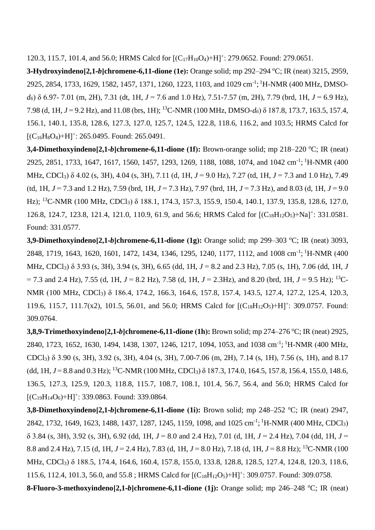120.3, 115.7, 101.4, and 56.0; HRMS Calcd for  $[(C_{17}H_{10}O_4)+H]^+$ : 279.0652. Found: 279.0651.

**3-Hydroxyindeno[2,1-***b***]chromene-6,11-dione (1e):** Orange solid; mp 292–294 °C; IR (neat) 3215, 2959, 2925, 2854, 1733, 1629, 1582, 1457, 1371, 1260, 1223, 1103, and 1029 cm<sup>-1</sup>; <sup>1</sup>H-NMR (400 MHz, DMSO*d6*) δ 6.97- 7.01 (m, 2H), 7.31 (dt, 1H, *J* = 7.6 and 1.0 Hz), 7.51-7.57 (m, 2H), 7.79 (brd, 1H, *J* = 6.9 Hz), 7.98 (d, 1H, *J* = 9.2 Hz), and 11.08 (brs, 1H); <sup>13</sup>C-NMR (100 MHz, DMSO-*d6*) δ 187.8, 173.7, 163.5, 157.4, 156.1, 140.1, 135.8, 128.6, 127.3, 127.0, 125.7, 124.5, 122.8, 118.6, 116.2, and 103.5; HRMS Calcd for  $[ (C_{16}H_8O_4)+H]^+$ : 265.0495. Found: 265.0491.

**3,4-Dimethoxyindeno[2,1-***b*]chromene-6,11-dione (1f): Brown-orange solid; mp 218–220 °C; IR (neat) 2925, 2851, 1733, 1647, 1617, 1560, 1457, 1293, 1269, 1188, 1088, 1074, and 1042 cm<sup>-1</sup>; <sup>1</sup>H-NMR (400 MHz, CDCl3) δ 4.02 (s, 3H), 4.04 (s, 3H), 7.11 (d, 1H, *J* = 9.0 Hz), 7.27 (td, 1H, *J* = 7.3 and 1.0 Hz), 7.49 (td, 1H,  $J = 7.3$  and 1.2 Hz), 7.59 (brd, 1H,  $J = 7.3$  Hz), 7.97 (brd, 1H,  $J = 7.3$  Hz), and 8.03 (d, 1H,  $J = 9.0$ Hz); <sup>13</sup>C-NMR (100 MHz, CDCl<sub>3</sub>) δ 188.1, 174.3, 157.3, 155.9, 150.4, 140.1, 137.9, 135.8, 128.6, 127.0, 126.8, 124.7, 123.8, 121.4, 121.0, 110.9, 61.9, and 56.6; HRMS Calcd for  $[(C_{18}H_{12}O_5)+Na]^+$ : 331.0581. Found: 331.0577.

**3,9-Dimethoxyindeno[2,1-***b*]chromene-6,11-dione (1g): Orange solid; mp 299–303 °C; IR (neat) 3093, 2848, 1719, 1643, 1620, 1601, 1472, 1434, 1346, 1295, 1240, 1177, 1112, and 1008 cm<sup>-1</sup>; <sup>1</sup>H-NMR (400 MHz, CDCl3) δ 3.93 (s, 3H), 3.94 (s, 3H), 6.65 (dd, 1H, *J* = 8.2 and 2.3 Hz), 7.05 (s, 1H), 7.06 (dd, 1H, *J*  $= 7.3$  and 2.4 Hz), 7.55 (d, 1H,  $J = 8.2$  Hz), 7.58 (d, 1H,  $J = 2.3$  Hz), and 8.20 (brd, 1H,  $J = 9.5$  Hz); <sup>13</sup>C-NMR (100 MHz, CDCl<sub>3</sub>) δ 186.4, 174.2, 166.3, 164.6, 157.8, 157.4, 143.5, 127.4, 127.2, 125.4, 120.3, 119.6, 115.7, 111.7(x2), 101.5, 56.01, and 56.0; HRMS Calcd for  $[ (C_{18}H_{12}O_5)+H]^+$ : 309.0757. Found: 309.0764.

**3,8,9-Trimethoxyindeno[2,1-***b*]chromene-6,11-dione (1h): Brown solid; mp 274–276 °C; IR (neat) 2925, 2840, 1723, 1652, 1630, 1494, 1438, 1307, 1246, 1217, 1094, 1053, and 1038 cm<sup>-1</sup>; <sup>1</sup>H-NMR (400 MHz, CDCl3) δ 3.90 (s, 3H), 3.92 (s, 3H), 4.04 (s, 3H), 7.00-7.06 (m, 2H), 7.14 (s, 1H), 7.56 (s, 1H), and 8.17 (dd, 1H,  $J = 8.8$  and 0.3 Hz); <sup>13</sup>C-NMR (100 MHz, CDCl<sub>3</sub>)  $\delta$  187.3, 174.0, 164.5, 157.8, 156.4, 155.0, 148.6, 136.5, 127.3, 125.9, 120.3, 118.8, 115.7, 108.7, 108.1, 101.4, 56.7, 56.4, and 56.0; HRMS Calcd for  $[ (C_{19}H_{14}O_6)+H]^+$ : 339.0863. Found: 339.0864.

**3,8-Dimethoxyindeno[2,1-***b*]chromene-6,11-dione (1i): Brown solid; mp 248–252 °C; IR (neat) 2947, 2842, 1732, 1649, 1623, 1488, 1437, 1287, 1245, 1159, 1098, and 1025 cm<sup>-1</sup>; <sup>1</sup>H-NMR (400 MHz, CDCl<sub>3</sub>) δ 3.84 (s, 3H), 3.92 (s, 3H), 6.92 (dd, 1H, *J* = 8.0 and 2.4 Hz), 7.01 (d, 1H, *J* = 2.4 Hz), 7.04 (dd, 1H, *J* = 8.8 and 2.4 Hz), 7.15 (d, 1H, *J* = 2.4 Hz), 7.83 (d, 1H, *J* = 8.0 Hz), 7.18 (d, 1H, *J* = 8.8 Hz); <sup>13</sup>C-NMR (100 MHz, CDCl3) δ 188.5, 174.4, 164.6, 160.4, 157.8, 155.0, 133.8, 128.8, 128.5, 127.4, 124.8, 120.3, 118.6, 115.6, 112.4, 101.3, 56.0, and 55.8; HRMS Calcd for  $[(C_{18}H_{12}O_5)+H]^+$ : 309.0757. Found: 309.0758.

**8-Fluoro-3-methoxyindeno[2,1-***b***]chromene-6,11-dione (1j):** Orange solid; mp 246–248 °C; IR (neat)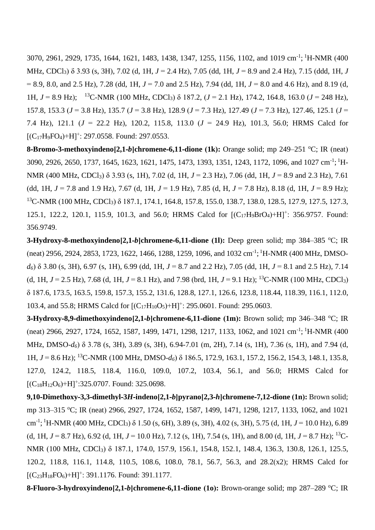3070, 2961, 2929, 1735, 1644, 1621, 1483, 1438, 1347, 1255, 1156, 1102, and 1019 cm<sup>-1</sup>; <sup>1</sup>H-NMR (400 MHz, CDCl3) δ 3.93 (s, 3H), 7.02 (d, 1H, *J* = 2.4 Hz), 7.05 (dd, 1H, *J* = 8.9 and 2.4 Hz), 7.15 (ddd, 1H, *J* = 8.9, 8.0, and 2.5 Hz), 7.28 (dd, 1H, *J* = 7.0 and 2.5 Hz), 7.94 (dd, 1H, *J* = 8.0 and 4.6 Hz), and 8.19 (d, 1H, *J* = 8.9 Hz); <sup>13</sup>C-NMR (100 MHz, CDCl3) δ 187.2, (*J* = 2.1 Hz), 174.2, 164.8, 163.0 (*J* = 248 Hz), 157.8, 153.3 (*J* = 3.8 Hz), 135.7 (*J* = 3.8 Hz), 128.9 (*J* = 7.3 Hz), 127.49 (*J* = 7.3 Hz), 127.46, 125.1 (*J* = 7.4 Hz), 121.1 (*J* = 22.2 Hz), 120.2, 115.8, 113.0 (*J* = 24.9 Hz), 101.3, 56.0; HRMS Calcd for  $[ (C_{17}H_9FO_4)+H ]^+$ : 297.0558. Found: 297.0553.

**8-Bromo-3-methoxyindeno[2,1-***b*]chromene-6,11-dione (1k): Orange solid; mp 249–251 °C; IR (neat) 3090, 2926, 2650, 1737, 1645, 1623, 1621, 1475, 1473, 1393, 1351, 1243, 1172, 1096, and 1027 cm<sup>-1</sup>; <sup>1</sup>H-NMR (400 MHz, CDCl3) δ 3.93 (s, 1H), 7.02 (d, 1H, *J* = 2.3 Hz), 7.06 (dd, 1H, *J* = 8.9 and 2.3 Hz), 7.61 (dd, 1H,  $J = 7.8$  and 1.9 Hz), 7.67 (d, 1H,  $J = 1.9$  Hz), 7.85 (d, H,  $J = 7.8$  Hz), 8.18 (d, 1H,  $J = 8.9$  Hz); <sup>13</sup>C-NMR (100 MHz, CDCl<sub>3</sub>) δ 187.1, 174.1, 164.8, 157.8, 155.0, 138.7, 138.0, 128.5, 127.9, 127.5, 127.3, 125.1, 122.2, 120.1, 115.9, 101.3, and 56.0; HRMS Calcd for  $[(C_{17}H_9BrO_4)+H]^+$ : 356.9757. Found: 356.9749.

**3-Hydroxy-8-methoxyindeno[2,1-***b***]chromene-6,11-dione** (1l): Deep green solid; mp 384–385 °C; IR (neat) 2956, 2924, 2853, 1723, 1622, 1466, 1288, 1259, 1096, and 1032 cm<sup>-1</sup>; <sup>1</sup>H-NMR (400 MHz, DMSO*d6*) δ 3.80 (s, 3H), 6.97 (s, 1H), 6.99 (dd, 1H, *J* = 8.7 and 2.2 Hz), 7.05 (dd, 1H, *J* = 8.1 and 2.5 Hz), 7.14 (d, 1H,  $J = 2.5$  Hz), 7.68 (d, 1H,  $J = 8.1$  Hz), and 7.98 (brd, 1H,  $J = 9.1$  Hz); <sup>13</sup>C-NMR (100 MHz, CDCl<sub>3</sub>) δ 187.6, 173.5, 163.5, 159.8, 157.3, 155.2, 131.6, 128.8, 127.1, 126.6, 123.8, 118.44, 118.39, 116.1, 112.0, 103.4, and 55.8; HRMS Calcd for  $[(C_{17}H_{10}O_5)+H]^2$ : 295.0601. Found: 295.0603.

**3-Hydroxy-8,9-dimethoxyindeno[2,1-***b***]chromene-6,11-dione (1m):** Brown solid; mp 346–348 °C; IR (neat) 2966, 2927, 1724, 1652, 1587, 1499, 1471, 1298, 1217, 1133, 1062, and 1021 cm<sup>-1</sup>; <sup>1</sup>H-NMR (400 MHz, DMSO-*d6*) δ 3.78 (s, 3H), 3.89 (s, 3H), 6.94-7.01 (m, 2H), 7.14 (s, 1H), 7.36 (s, 1H), and 7.94 (d, 1H, *J* = 8.6 Hz); <sup>13</sup>C-NMR (100 MHz, DMSO-*d6*) δ 186.5, 172.9, 163.1, 157.2, 156.2, 154.3, 148.1, 135.8, 127.0, 124.2, 118.5, 118.4, 116.0, 109.0, 107.2, 103.4, 56.1, and 56.0; HRMS Calcd for  $[ (C_{18}H_{12}O_6)+H ]+325.0707.$  Found: 325.0698.

**9,10-Dimethoxy-3,3-dimethyl-3***H***-indeno[2,1-***b***]pyrano[2,3-***h***]chromene-7,12-dione (1n):** Brown solid; mp 313–315 °C; IR (neat) 2966, 2927, 1724, 1652, 1587, 1499, 1471, 1298, 1217, 1133, 1062, and 1021 cm-1 ; <sup>1</sup>H-NMR (400 MHz, CDCl3) δ 1.50 (s, 6H), 3.89 (s, 3H), 4.02 (s, 3H), 5.75 (d, 1H, *J* = 10.0 Hz), 6.89 (d, 1H,  $J = 8.7$  Hz), 6.92 (d, 1H,  $J = 10.0$  Hz), 7.12 (s, 1H), 7.54 (s, 1H), and 8.00 (d, 1H,  $J = 8.7$  Hz); <sup>13</sup>C-NMR (100 MHz, CDCl<sub>3</sub>) δ 187.1, 174.0, 157.9, 156.1, 154.8, 152.1, 148.4, 136.3, 130.8, 126.1, 125.5, 120.2, 118.8, 116.1, 114.8, 110.5, 108.6, 108.0, 78.1, 56.7, 56.3, and 28.2(x2); HRMS Calcd for  $[ (C<sub>23</sub>H<sub>18</sub>FO<sub>6</sub>)+H]<sup>+</sup>$ : 391.1176. Found: 391.1177.

**8-Fluoro-3-hydroxyindeno[2,1-***b***]chromene-6,11-dione (1o):** Brown-orange solid; mp 287–289 °C; IR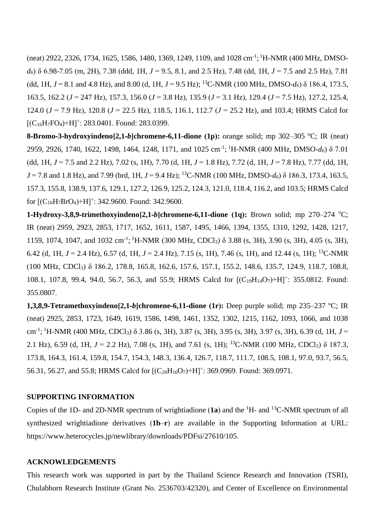(neat) 2922, 2326, 1734, 1625, 1586, 1480, 1369, 1249, 1109, and 1028 cm<sup>-1</sup>; <sup>1</sup>H-NMR (400 MHz, DMSO*d6*) δ 6.98-7.05 (m, 2H), 7.38 (ddd, 1H, *J* = 9.5, 8.1, and 2.5 Hz), 7.48 (dd, 1H, *J* = 7.5 and 2.5 Hz), 7.81 (dd, 1H,  $J = 8.1$  and 4.8 Hz), and 8.00 (d, 1H,  $J = 9.5$  Hz); <sup>13</sup>C-NMR (100 MHz, DMSO- $d_6$ )  $\delta$  186.4, 173.5, 163.5, 162.2 (*J* = 247 Hz), 157.3, 156.0 (*J* = 3.8 Hz), 135.9 (*J* = 3.1 Hz), 129.4 (*J* = 7.5 Hz), 127.2, 125.4, 124.0 (*J* = 7.9 Hz), 120.8 (*J* = 22.5 Hz), 118.5, 116.1, 112.7 (*J* = 25.2 Hz), and 103.4; HRMS Calcd for  $[$ (C<sub>16</sub>H<sub>7</sub>FO<sub>4</sub>)+H]<sup>+</sup>: 283.0401. Found: 283.0399.

**8-Bromo-3-hydroxyindeno[2,1-***b***]chromene-6,11-dione** (1p): orange solid; mp 302–305 °C; IR (neat) 2959, 2926, 1740, 1622, 1498, 1464, 1248, 1171, and 1025 cm-1 ; <sup>1</sup>H-NMR (400 MHz, DMSO-*d6*) δ 7.01 (dd, 1H,  $J = 7.5$  and 2.2 Hz), 7.02 (s, 1H), 7.70 (d, 1H,  $J = 1.8$  Hz), 7.72 (d, 1H,  $J = 7.8$  Hz), 7.77 (dd, 1H, *J* = 7.8 and 1.8 Hz), and 7.99 (brd, 1H, *J* = 9.4 Hz); <sup>13</sup>C-NMR (100 MHz, DMSO-*d6*) δ 186.3, 173.4, 163.5, 157.3, 155.8, 138.9, 137.6, 129.1, 127.2, 126.9, 125.2, 124.3, 121.0, 118.4, 116.2, and 103.5; HRMS Calcd for  $[ (C_{16}H_7BrO_4)+H ]+342.9600.$  Found: 342.9600.

**1-Hydroxy-3,8,9-trimethoxyindeno[2,1-***b***]chromene-6,11-dione (1q):** Brown solid; mp 270–274 <sup>o</sup>C; IR (neat) 2959, 2923, 2853, 1717, 1652, 1611, 1587, 1495, 1466, 1394, 1355, 1310, 1292, 1428, 1217, 1159, 1074, 1047, and 1032 cm<sup>-1</sup>; <sup>1</sup>H-NMR (300 MHz, CDCl<sub>3</sub>) δ 3.88 (s, 3H), 3.90 (s, 3H), 4.05 (s, 3H), 6.42 (d, 1H,  $J = 2.4$  Hz), 6.57 (d, 1H,  $J = 2.4$  Hz), 7.15 (s, 1H), 7.46 (s, 1H), and 12.44 (s, 1H); <sup>13</sup>C-NMR (100 MHz, CDCl3) δ 186.2, 178.8, 165.8, 162.6, 157.6, 157.1, 155.2, 148.6, 135.7, 124.9, 118.7, 108.8, 108.1, 107.8, 99.4, 94.0, 56.7, 56.3, and 55.9; HRMS Calcd for  $[({C_{19}H_{14}O_7})+H]^+$ : 355.0812. Found: 355.0807.

**1,3,8,9-Tetramethoxyindeno[2,1-***b*]chromene-6,11-dione (1r): Deep purple solid; mp 235–237 °C; IR (neat) 2925, 2853, 1723, 1649, 1619, 1586, 1498, 1461, 1352, 1302, 1215, 1162, 1093, 1066, and 1038 cm<sup>-1</sup>; <sup>1</sup>H-NMR (400 MHz, CDCl<sub>3</sub>) δ 3.86 (s, 3H), 3.87 (s, 3H), 3.95 (s, 3H), 3.97 (s, 3H), 6.39 (d, 1H, *J* = 2.1 Hz), 6.59 (d, 1H,  $J = 2.2$  Hz), 7.08 (s, 1H), and 7.61 (s, 1H); <sup>13</sup>C-NMR (100 MHz, CDCl<sub>3</sub>)  $\delta$  187.3, 173.8, 164.3, 161.4, 159.8, 154.7, 154.3, 148.3, 136.4, 126.7, 118.7, 111.7, 108.5, 108.1, 97.0, 93.7, 56.5, 56.31, 56.27, and 55.8; HRMS Calcd for  $[(C_{20}H_{16}O_7)+H]^+$ : 369.0969. Found: 369.0971.

## **SUPPORTING INFORMATION**

Copies of the 1D- and 2D-NMR spectrum of wrightiadione (**1a**) and the <sup>1</sup>H- and <sup>13</sup>C-NMR spectrum of all synthesized wrightiadione derivatives (**1b**–**r**) are available in the Supporting Information at URL: https://www.heterocycles.jp/newlibrary/downloads/PDFsi/27610/105.

#### **ACKNOWLEDGEMENTS**

This research work was supported in part by the Thailand Science Research and Innovation (TSRI), Chulabhorn Research Institute (Grant No. 2536703/42320), and Center of Excellence on Environmental